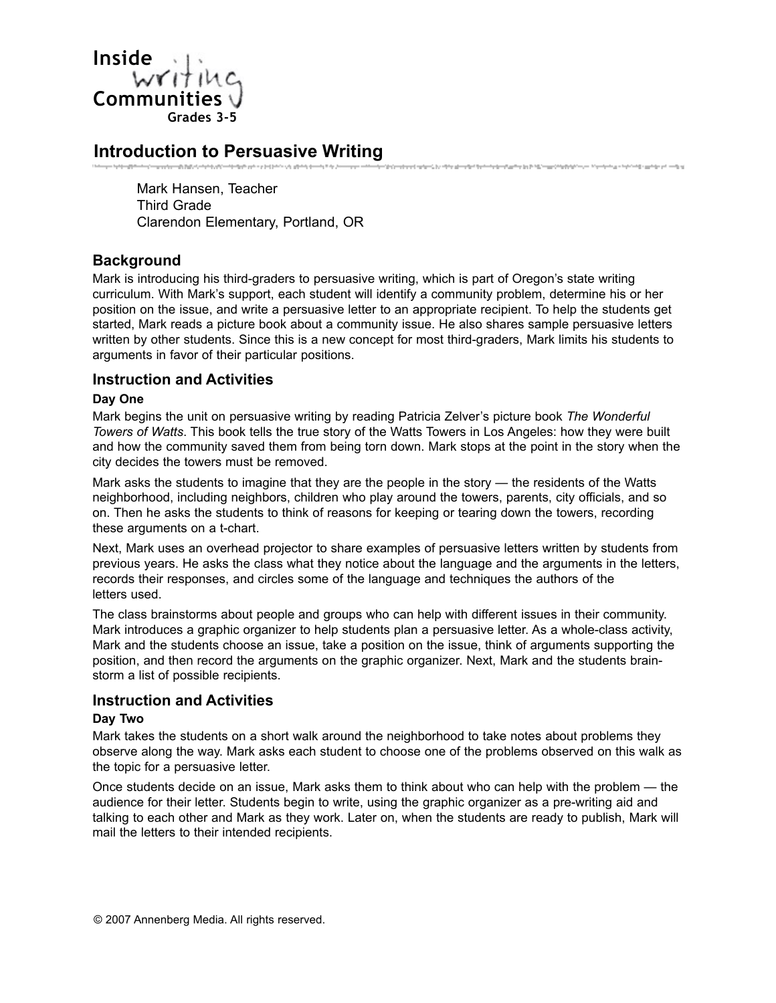

# **Introduction to Persuasive Writing**

Mark Hansen, Teacher Third Grade Clarendon Elementary, Portland, OR

## **Background**

Mark is introducing his third-graders to persuasive writing, which is part of Oregon's state writing curriculum. With Mark's support, each student will identify a community problem, determine his or her position on the issue, and write a persuasive letter to an appropriate recipient. To help the students get started, Mark reads a picture book about a community issue. He also shares sample persuasive letters written by other students. Since this is a new concept for most third-graders, Mark limits his students to arguments in favor of their particular positions.

.<br>Annis konflikt almedigt forherholder fundlig bei 1980 maar Stadisticken in Stadistica in hebbeld in arbite of media

### **Instruction and Activities**

#### **Day One**

Mark begins the unit on persuasive writing by reading Patricia Zelver's picture book *The Wonderful Towers of Watts*. This book tells the true story of the Watts Towers in Los Angeles: how they were built and how the community saved them from being torn down. Mark stops at the point in the story when the city decides the towers must be removed.

Mark asks the students to imagine that they are the people in the story — the residents of the Watts neighborhood, including neighbors, children who play around the towers, parents, city officials, and so on. Then he asks the students to think of reasons for keeping or tearing down the towers, recording these arguments on a t-chart.

Next, Mark uses an overhead projector to share examples of persuasive letters written by students from previous years. He asks the class what they notice about the language and the arguments in the letters, records their responses, and circles some of the language and techniques the authors of the letters used.

The class brainstorms about people and groups who can help with different issues in their community. Mark introduces a graphic organizer to help students plan a persuasive letter. As a whole-class activity, Mark and the students choose an issue, take a position on the issue, think of arguments supporting the position, and then record the arguments on the graphic organizer. Next, Mark and the students brainstorm a list of possible recipients.

## **Instruction and Activities**

### **Day Two**

Mark takes the students on a short walk around the neighborhood to take notes about problems they observe along the way. Mark asks each student to choose one of the problems observed on this walk as the topic for a persuasive letter.

Once students decide on an issue, Mark asks them to think about who can help with the problem — the audience for their letter. Students begin to write, using the graphic organizer as a pre-writing aid and talking to each other and Mark as they work. Later on, when the students are ready to publish, Mark will mail the letters to their intended recipients.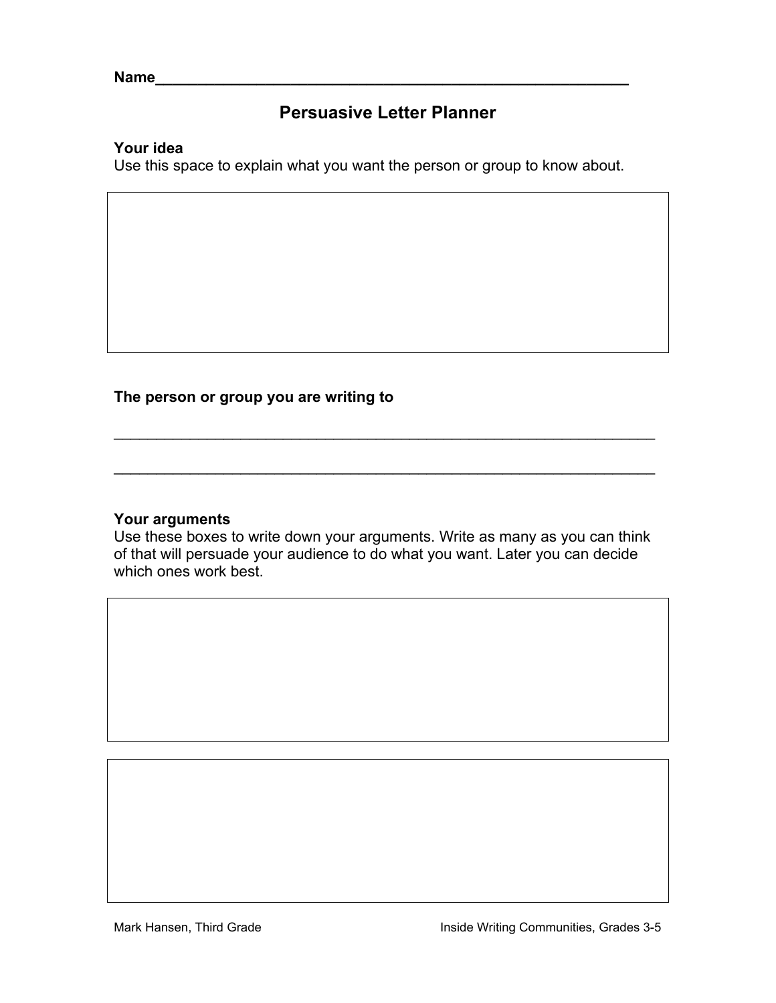### Name

# **Persuasive Letter Planner**

# **Your idea**

Use this space to explain what you want the person or group to know about.

**The person or group you are writing to**

## **Your arguments**

Use these boxes to write down your arguments. Write as many as you can think of that will persuade your audience to do what you want. Later you can decide which ones work best.

 $\mathcal{L}_\text{max}$  and  $\mathcal{L}_\text{max}$  and  $\mathcal{L}_\text{max}$  and  $\mathcal{L}_\text{max}$  and  $\mathcal{L}_\text{max}$  and  $\mathcal{L}_\text{max}$ 

 $\mathcal{L}_\text{max} = \mathcal{L}_\text{max} = \mathcal{L}_\text{max} = \mathcal{L}_\text{max} = \mathcal{L}_\text{max} = \mathcal{L}_\text{max} = \mathcal{L}_\text{max} = \mathcal{L}_\text{max} = \mathcal{L}_\text{max} = \mathcal{L}_\text{max} = \mathcal{L}_\text{max} = \mathcal{L}_\text{max} = \mathcal{L}_\text{max} = \mathcal{L}_\text{max} = \mathcal{L}_\text{max} = \mathcal{L}_\text{max} = \mathcal{L}_\text{max} = \mathcal{L}_\text{max} = \mathcal{$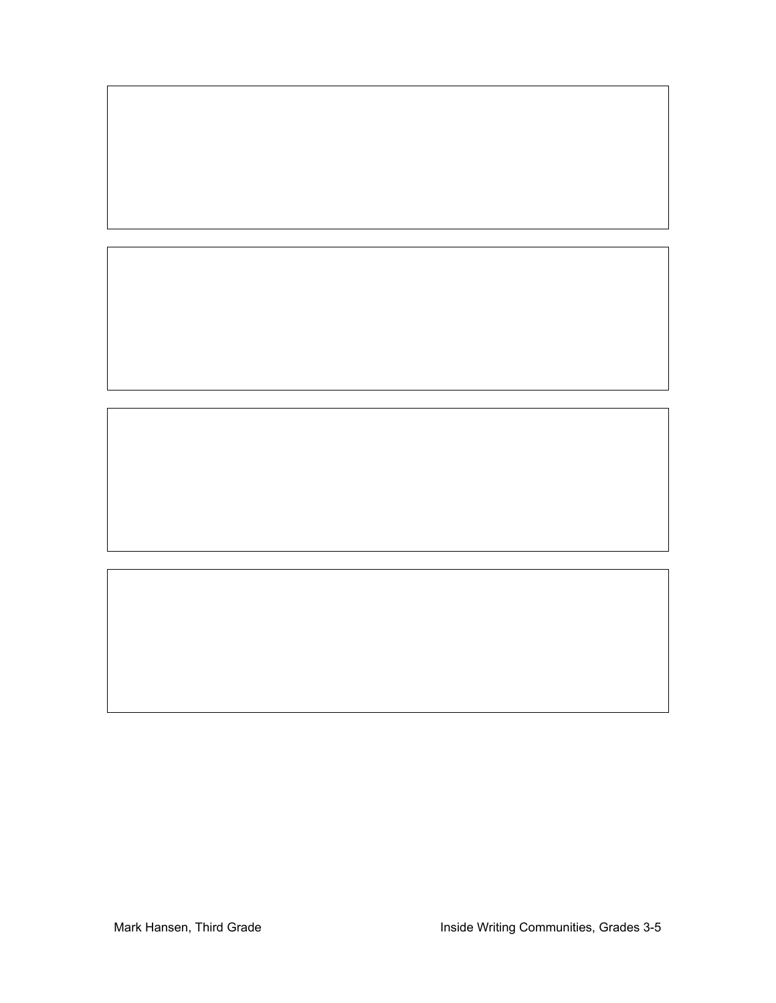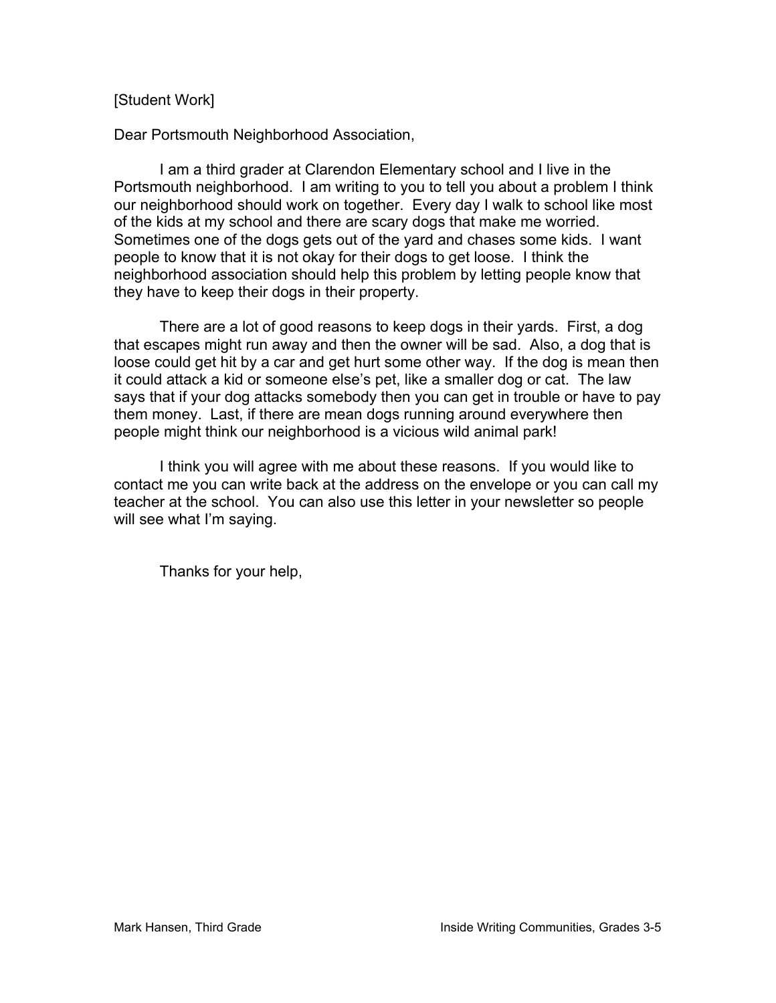# [Student Work]

Dear Portsmouth Neighborhood Association,

I am a third grader at Clarendon Elementary school and I live in the Portsmouth neighborhood. I am writing to you to tell you about a problem I think our neighborhood should work on together. Every day I walk to school like most of the kids at my school and there are scary dogs that make me worried. Sometimes one of the dogs gets out of the yard and chases some kids. I want people to know that it is not okay for their dogs to get loose. I think the neighborhood association should help this problem by letting people know that they have to keep their dogs in their property.

There are a lot of good reasons to keep dogs in their yards. First, a dog that escapes might run away and then the owner will be sad. Also, a dog that is loose could get hit by a car and get hurt some other way. If the dog is mean then it could attack a kid or someone else's pet, like a smaller dog or cat. The law says that if your dog attacks somebody then you can get in trouble or have to pay them money. Last, if there are mean dogs running around everywhere then people might think our neighborhood is a vicious wild animal park!

I think you will agree with me about these reasons. If you would like to contact me you can write back at the address on the envelope or you can call my teacher at the school. You can also use this letter in your newsletter so people will see what I'm saying.

Thanks for your help,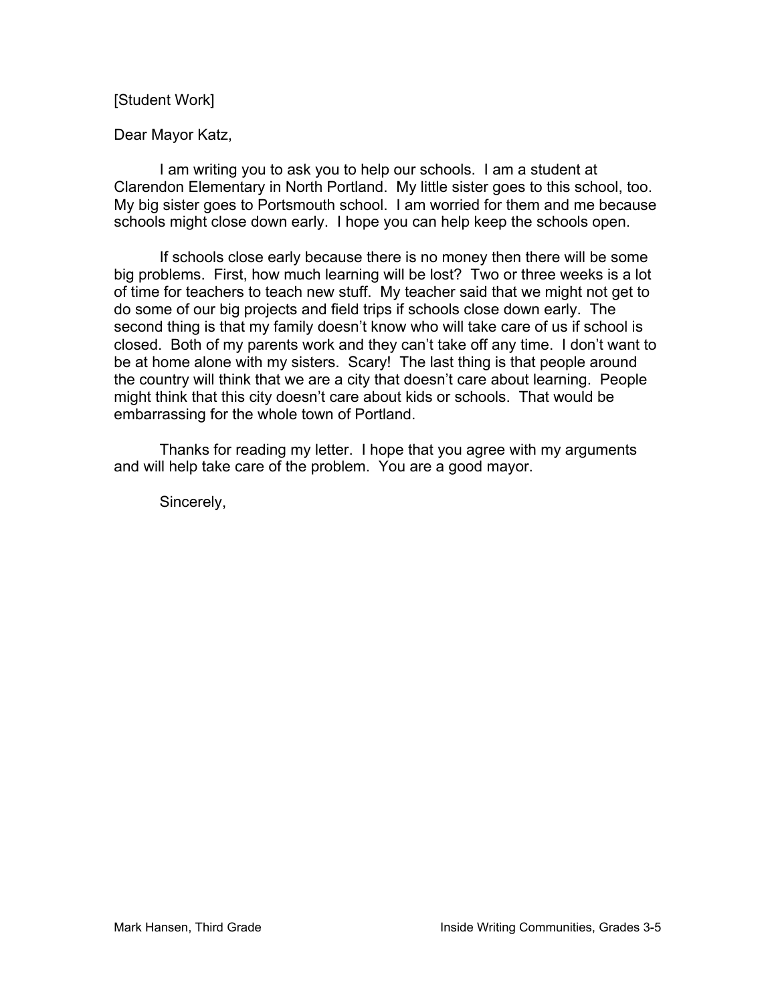# [Student Work]

## Dear Mayor Katz,

I am writing you to ask you to help our schools. I am a student at Clarendon Elementary in North Portland. My little sister goes to this school, too. My big sister goes to Portsmouth school. I am worried for them and me because schools might close down early. I hope you can help keep the schools open.

If schools close early because there is no money then there will be some big problems. First, how much learning will be lost? Two or three weeks is a lot of time for teachers to teach new stuff. My teacher said that we might not get to do some of our big projects and field trips if schools close down early. The second thing is that my family doesn't know who will take care of us if school is closed. Both of my parents work and they can't take off any time. I don't want to be at home alone with my sisters. Scary! The last thing is that people around the country will think that we are a city that doesn't care about learning. People might think that this city doesn't care about kids or schools. That would be embarrassing for the whole town of Portland.

Thanks for reading my letter. I hope that you agree with my arguments and will help take care of the problem. You are a good mayor.

Sincerely,